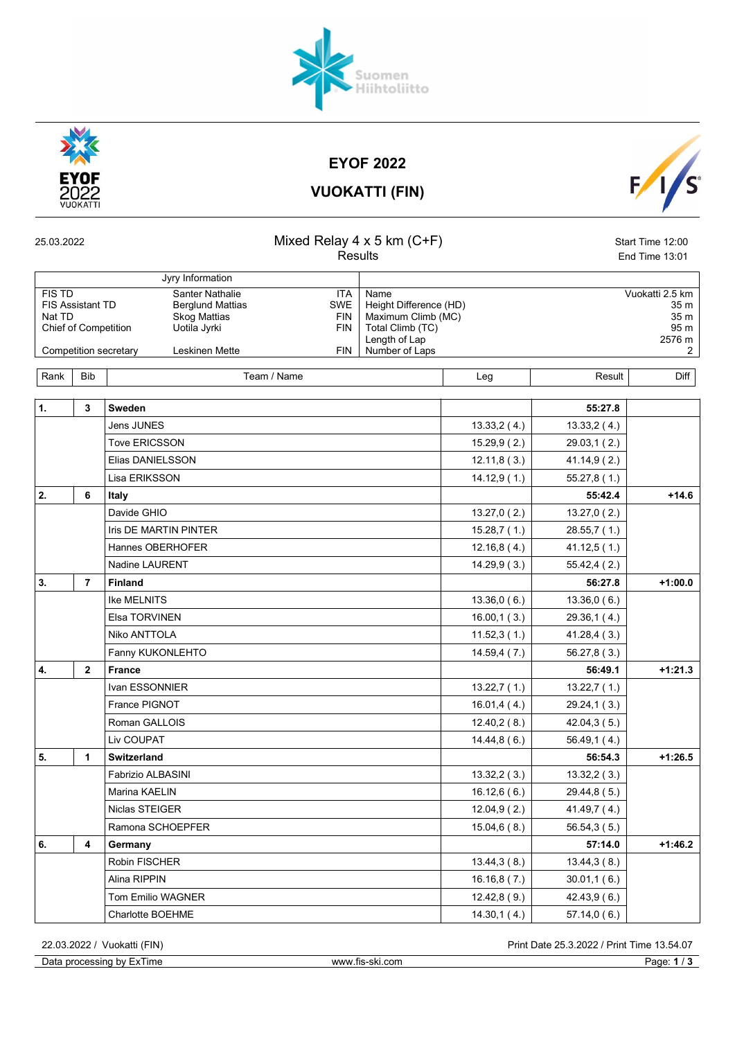



EYOF 2022



| <b>VUOKATTI (FIN)</b> |  |
|-----------------------|--|
|                       |  |

| 25.03.2022                                                                 |                         |                                                                                                                                     | Mixed Relay $4 \times 5$ km (C+F)<br>Results                |  |                                                                                                             | Start Time 12:00<br>End Time 13:01 |                                                        |  |  |  |
|----------------------------------------------------------------------------|-------------------------|-------------------------------------------------------------------------------------------------------------------------------------|-------------------------------------------------------------|--|-------------------------------------------------------------------------------------------------------------|------------------------------------|--------------------------------------------------------|--|--|--|
|                                                                            |                         | Jyry Information                                                                                                                    |                                                             |  |                                                                                                             |                                    |                                                        |  |  |  |
| <b>FIS TD</b><br><b>FIS Assistant TD</b><br>Nat TD<br>Chief of Competition |                         | <b>Santer Nathalie</b><br><b>Berglund Mattias</b><br><b>Skog Mattias</b><br>Uotila Jyrki<br>Competition secretary<br>Leskinen Mette | ITA<br><b>SWE</b><br><b>FIN</b><br><b>FIN</b><br><b>FIN</b> |  | Name<br>Height Difference (HD)<br>Maximum Climb (MC)<br>Total Climb (TC)<br>Length of Lap<br>Number of Laps |                                    | Vuokatti 2.5 km<br>35 m<br>35 m<br>95 m<br>2576 m<br>2 |  |  |  |
|                                                                            |                         |                                                                                                                                     |                                                             |  |                                                                                                             |                                    |                                                        |  |  |  |
| Rank                                                                       | <b>Bib</b>              | Team / Name                                                                                                                         |                                                             |  | Leg                                                                                                         | Result                             | Diff                                                   |  |  |  |
| 1.                                                                         | 3                       | Sweden                                                                                                                              |                                                             |  |                                                                                                             | 55:27.8                            |                                                        |  |  |  |
|                                                                            |                         | <b>Jens JUNES</b>                                                                                                                   |                                                             |  | 13.33,2(4.)                                                                                                 | 13.33,2(4.)                        |                                                        |  |  |  |
|                                                                            |                         | <b>Tove ERICSSON</b>                                                                                                                |                                                             |  | 15.29,9(2.)                                                                                                 | 29.03,1 (2.)                       |                                                        |  |  |  |
|                                                                            |                         | Elias DANIELSSON                                                                                                                    |                                                             |  | 12.11, 8(3.)                                                                                                | 41.14,9(2.)                        |                                                        |  |  |  |
|                                                                            |                         | Lisa ERIKSSON                                                                                                                       |                                                             |  | 14.12,9(1)                                                                                                  | 55.27,8 (1.)                       |                                                        |  |  |  |
| 2.                                                                         | 6                       | Italy                                                                                                                               |                                                             |  |                                                                                                             | 55:42.4                            | $+14.6$                                                |  |  |  |
|                                                                            |                         | Davide GHIO                                                                                                                         |                                                             |  | 13.27,0(2.)                                                                                                 | 13.27,0(2.)                        |                                                        |  |  |  |
|                                                                            |                         | <b>Iris DE MARTIN PINTER</b>                                                                                                        |                                                             |  | 15.28,7(1.)                                                                                                 | 28.55,7(1.)                        |                                                        |  |  |  |
|                                                                            |                         | Hannes OBERHOFER                                                                                                                    |                                                             |  | 12.16, 8(4.)                                                                                                | 41.12,5(1.)                        |                                                        |  |  |  |
|                                                                            |                         | Nadine LAURENT                                                                                                                      |                                                             |  | 14.29,9(3.)                                                                                                 | 55.42,4(2.)                        |                                                        |  |  |  |
| 3.                                                                         | $\overline{\mathbf{r}}$ | <b>Finland</b>                                                                                                                      |                                                             |  |                                                                                                             | 56:27.8                            | $+1:00.0$                                              |  |  |  |
|                                                                            |                         | <b>Ike MELNITS</b>                                                                                                                  |                                                             |  | 13.36,0(6.)                                                                                                 | 13.36,0(6.)                        |                                                        |  |  |  |
|                                                                            |                         | Elsa TORVINEN                                                                                                                       |                                                             |  | 16.00, 1(3.)                                                                                                | 29.36,1 (4.)                       |                                                        |  |  |  |
|                                                                            |                         | Niko ANTTOLA                                                                                                                        |                                                             |  | 11.52,3(1.)                                                                                                 | 41.28,4(3.)                        |                                                        |  |  |  |
|                                                                            |                         | Fanny KUKONLEHTO                                                                                                                    |                                                             |  | 14.59,4(7.)                                                                                                 | 56.27, 8(3.)                       |                                                        |  |  |  |
| 4.                                                                         | $\overline{2}$          | <b>France</b>                                                                                                                       |                                                             |  |                                                                                                             | 56:49.1                            | $+1:21.3$                                              |  |  |  |
|                                                                            |                         | Ivan ESSONNIER                                                                                                                      |                                                             |  | 13.22,7(1.)                                                                                                 | 13.22,7(1.)                        |                                                        |  |  |  |
|                                                                            |                         | France PIGNOT                                                                                                                       |                                                             |  | 16.01,4(4.)                                                                                                 | 29.24,1(3.)                        |                                                        |  |  |  |
|                                                                            |                         | Roman GALLOIS                                                                                                                       |                                                             |  | 12.40,2(8.)                                                                                                 | 42.04,3(5.)                        |                                                        |  |  |  |
|                                                                            |                         | Liv COUPAT                                                                                                                          |                                                             |  | 14.44, 8(6.)                                                                                                | 56.49,1(4.)                        |                                                        |  |  |  |
| 5.                                                                         | 1                       | <b>Switzerland</b>                                                                                                                  |                                                             |  |                                                                                                             | 56:54.3                            | $+1:26.5$                                              |  |  |  |
|                                                                            |                         | Fabrizio ALBASINI                                                                                                                   |                                                             |  | 13.32,2(3.)                                                                                                 | 13.32,2(3.)                        |                                                        |  |  |  |
|                                                                            |                         | Marina KAELIN                                                                                                                       |                                                             |  | 16.12,6(6.)                                                                                                 | 29.44,8 (5.)                       |                                                        |  |  |  |
|                                                                            |                         | Niclas STEIGER                                                                                                                      |                                                             |  | 12.04, 9(2.)                                                                                                | 41.49,7 (4.)                       |                                                        |  |  |  |
|                                                                            |                         | Ramona SCHOEPFER                                                                                                                    |                                                             |  | 15.04, 6(8.)                                                                                                | 56.54, 3(5.)                       |                                                        |  |  |  |
| 6.                                                                         | 4                       | Germany                                                                                                                             |                                                             |  |                                                                                                             | 57:14.0                            | $+1:46.2$                                              |  |  |  |
|                                                                            |                         | Robin FISCHER                                                                                                                       |                                                             |  | 13.44, 3(8.)                                                                                                | 13.44, 3(8.)                       |                                                        |  |  |  |
|                                                                            |                         | Alina RIPPIN                                                                                                                        |                                                             |  | 16.16, 8(7.)                                                                                                | 30.01,1(6.)                        |                                                        |  |  |  |
|                                                                            |                         | Tom Emilio WAGNER                                                                                                                   |                                                             |  | 12.42,8(9.)                                                                                                 | 42.43,9(6.)                        |                                                        |  |  |  |
|                                                                            |                         | Charlotte BOEHME                                                                                                                    |                                                             |  | 14.30, 1(4.)                                                                                                | 57.14,0(6.)                        |                                                        |  |  |  |

Data processing by ExTime www.fis-ski.com Page: 1/3

22.03.2022 / Vuokatti (FIN) Print Date 25.3.2022 / Print Time 13.54.07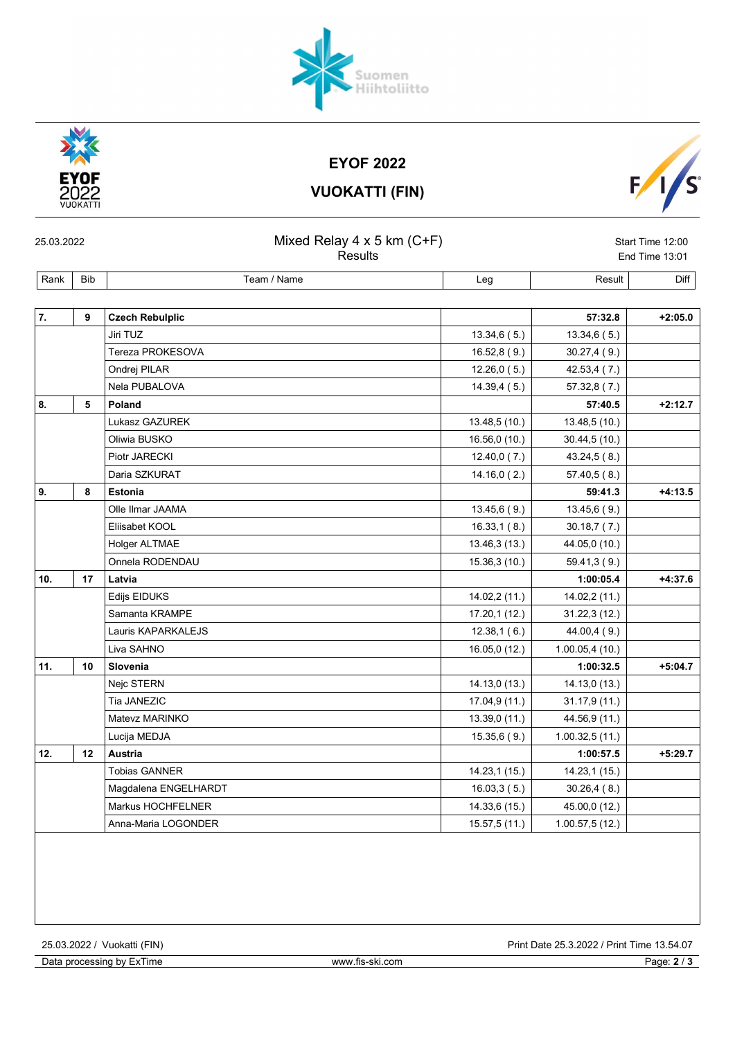| 7.  | 9  | <b>Czech Rebulplic</b> |               | 57:32.8         | $+2:05.0$ |
|-----|----|------------------------|---------------|-----------------|-----------|
|     |    | Jiri TUZ               | 13.34,6(5.)   | 13.34,6(5.)     |           |
|     |    | Tereza PROKESOVA       | 16.52, 8(9.)  | 30.27,4(9.)     |           |
|     |    | Ondrej PILAR           | 12.26,0(5.)   | 42.53,4 (7.)    |           |
|     |    | Nela PUBALOVA          | 14.39,4(5.)   | 57.32,8(7.)     |           |
| 8.  | 5  | Poland                 |               | 57:40.5         | $+2:12.7$ |
|     |    | Lukasz GAZUREK         | 13.48,5 (10.) | 13.48, 5(10.)   |           |
|     |    | Oliwia BUSKO           | 16.56,0 (10.) | 30.44, 5(10.)   |           |
|     |    | Piotr JARECKI          | 12.40,0(7.)   | 43.24,5(8.)     |           |
|     |    | Daria SZKURAT          | 14.16,0(2.)   | 57.40, 5(8.)    |           |
| 9.  | 8  | <b>Estonia</b>         |               | 59:41.3         | $+4:13.5$ |
|     |    | Olle Ilmar JAAMA       | 13.45,6(9.)   | 13.45,6(9.)     |           |
|     |    | Eliisabet KOOL         | 16.33, 1(8.)  | 30.18,7(7.)     |           |
|     |    | Holger ALTMAE          | 13.46,3 (13.) | 44.05,0 (10.)   |           |
|     |    | Onnela RODENDAU        | 15.36,3 (10.) | 59.41,3(9.)     |           |
| 10. | 17 | Latvia                 |               | 1:00:05.4       | $+4:37.6$ |
|     |    | Edijs EIDUKS           | 14.02,2 (11.) | 14.02,2 (11.)   |           |
|     |    | Samanta KRAMPE         | 17.20,1(12.)  | 31.22,3(12.)    |           |
|     |    | Lauris KAPARKALEJS     | 12.38,1(6.)   | 44.00,4(9.)     |           |
|     |    | Liva SAHNO             | 16.05,0 (12.) | 1.00.05,4(10.)  |           |
| 11. | 10 | Slovenia               |               | 1:00:32.5       | $+5:04.7$ |
|     |    | Nejc STERN             | 14.13,0(13.)  | 14.13,0 (13.)   |           |
|     |    | Tia JANEZIC            | 17.04,9 (11.) | 31.17,9 (11.)   |           |
|     |    | Matevz MARINKO         | 13.39,0(11)   | 44.56,9 (11.)   |           |
|     |    | Lucija MEDJA           | 15.35,6(9.)   | 1.00.32,5(11.)  |           |
| 12. | 12 | <b>Austria</b>         |               | 1:00:57.5       | $+5:29.7$ |
|     |    | <b>Tobias GANNER</b>   | 14.23,1 (15.) | 14.23,1 (15.)   |           |
|     |    | Magdalena ENGELHARDT   | 16.03, 3(5.)  | 30.26,4(8.)     |           |
|     |    | Markus HOCHFELNER      | 14.33,6 (15.) | 45.00,0 (12.)   |           |
|     |    | Anna-Maria LOGONDER    | 15.57,5(11.)  | 1.00.57, 5(12.) |           |



EYOF 2022 VUOKATTI (FIN)

25.03.2022 Mixed Relay 4 x 5 km (C+F) Start Time 12:00

Rank Bib Name Rank Bib Result Diff

Results **End Time 13:01**